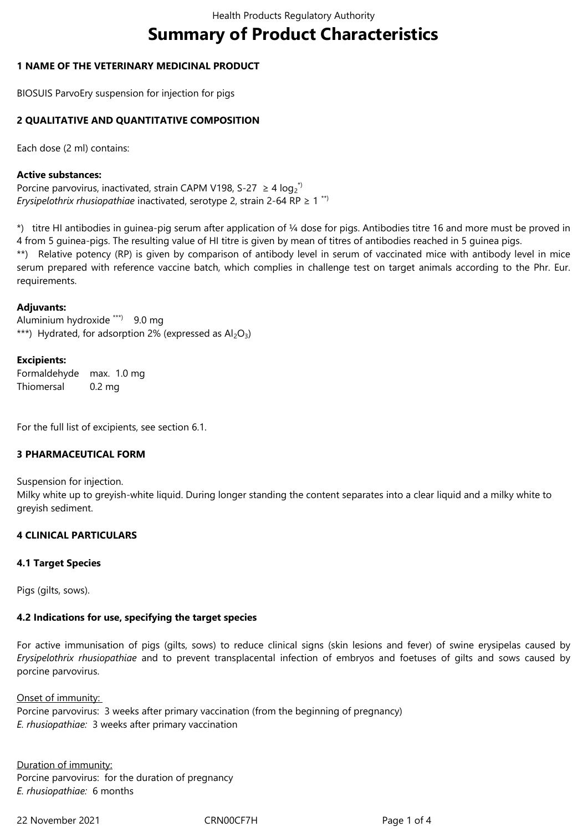# **Summary of Product Characteristics**

# **1 NAME OF THE VETERINARY MEDICINAL PRODUCT**

BIOSUIS ParvoEry suspension for injection for pigs

# **2 QUALITATIVE AND QUANTITATIVE COMPOSITION**

Each dose (2 ml) contains:

## **Active substances:**

Porcine parvovirus, inactivated, strain CAPM V198, S-27  $\geq 4 \log_2^{\lambda}$ *Erysipelothrix rhusiopathiae* inactivated, serotype 2, strain 2-64 RP ≥ 1 \*\*)

\*) titre HI antibodies in guinea-pig serum after application of ¼ dose for pigs. Antibodies titre 16 and more must be proved in 4 from 5 guinea-pigs. The resulting value of HI titre is given by mean of titres of antibodies reached in 5 guinea pigs.

\*\*) Relative potency (RP) is given by comparison of antibody level in serum of vaccinated mice with antibody level in mice serum prepared with reference vaccine batch, which complies in challenge test on target animals according to the Phr. Eur. requirements.

## **Adjuvants:**

Aluminium hydroxide \*\*\*) 9.0 mg \*\*\*) Hydrated, for adsorption 2% (expressed as  $Al_2O_3$ )

## **Excipients:**

Formaldehyde max. 1.0 mg **Thiomersal** 0.2 mg

For the full list of excipients, see section 6.1.

# **3 PHARMACEUTICAL FORM**

Suspension for injection.

Milky white up to greyish-white liquid. During longer standing the content separates into a clear liquid and a milky white to greyish sediment.

# **4 CLINICAL PARTICULARS**

## **4.1 Target Species**

Pias (gilts, sows).

# **4.2 Indications for use, specifying the target species**

For active immunisation of pigs (gilts, sows) to reduce clinical signs (skin lesions and fever) of swine erysipelas caused by *Erysipelothrix rhusiopathiae* and to prevent transplacental infection of embryos and foetuses of gilts and sows caused by porcine parvovirus.

Onset of immunity: Porcine parvovirus: 3 weeks after primary vaccination (from the beginning of pregnancy) *E. rhusiopathiae:* 3 weeks after primary vaccination

Duration of immunity: Porcine parvovirus: for the duration of pregnancy *E. rhusiopathiae:* 6 months

22 November 2021 CRN00CF7H Page 1 of 4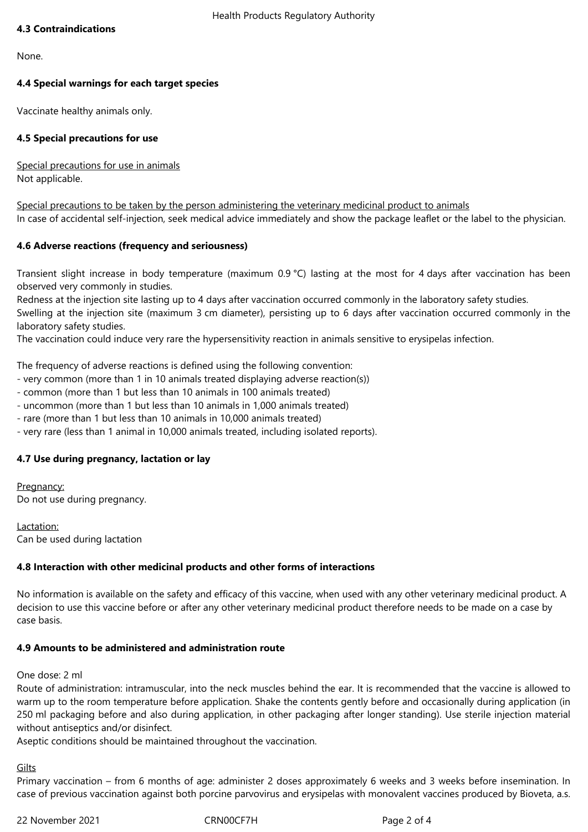## **4.3 Contraindications**

None.

# **4.4 Special warnings for each target species**

Vaccinate healthy animals only.

# **4.5 Special precautions for use**

Special precautions for use in animals Not applicable.

Special precautions to be taken by the person administering the veterinary medicinal product to animals In case of accidental self-injection, seek medical advice immediately and show the package leaflet or the label to the physician.

## **4.6 Adverse reactions (frequency and seriousness)**

Transient slight increase in body temperature (maximum 0.9 °C) lasting at the most for 4 days after vaccination has been observed very commonly in studies.

Redness at the injection site lasting up to 4 days after vaccination occurred commonly in the laboratory safety studies.

Swelling at the injection site (maximum 3 cm diameter), persisting up to 6 days after vaccination occurred commonly in the laboratory safety studies.

The vaccination could induce very rare the hypersensitivity reaction in animals sensitive to erysipelas infection.

The frequency of adverse reactions is defined using the following convention:

- very common (more than 1 in 10 animals treated displaying adverse reaction(s))
- common (more than 1 but less than 10 animals in 100 animals treated)
- uncommon (more than 1 but less than 10 animals in 1,000 animals treated)
- rare (more than 1 but less than 10 animals in 10,000 animals treated)
- very rare (less than 1 animal in 10,000 animals treated, including isolated reports).

# **4.7 Use during pregnancy, lactation or lay**

Pregnancy: Do not use during pregnancy.

Lactation: Can be used during lactation

## **4.8 Interaction with other medicinal products and other forms of interactions**

No information is available on the safety and efficacy of this vaccine, when used with any other veterinary medicinal product. A decision to use this vaccine before or after any other veterinary medicinal product therefore needs to be made on a case by case basis.

## **4.9 Amounts to be administered and administration route**

One dose: 2 ml

Route of administration: intramuscular, into the neck muscles behind the ear. It is recommended that the vaccine is allowed to warm up to the room temperature before application. Shake the contents gently before and occasionally during application (in 250 ml packaging before and also during application, in other packaging after longer standing). Use sterile injection material without antiseptics and/or disinfect.

Aseptic conditions should be maintained throughout the vaccination.

Gilts

Primary vaccination – from 6 months of age: administer 2 doses approximately 6 weeks and 3 weeks before insemination. In case of previous vaccination against both porcine parvovirus and erysipelas with monovalent vaccines produced by Bioveta, a.s.

22 November 2021 CRN00CF7H Page 2 of 4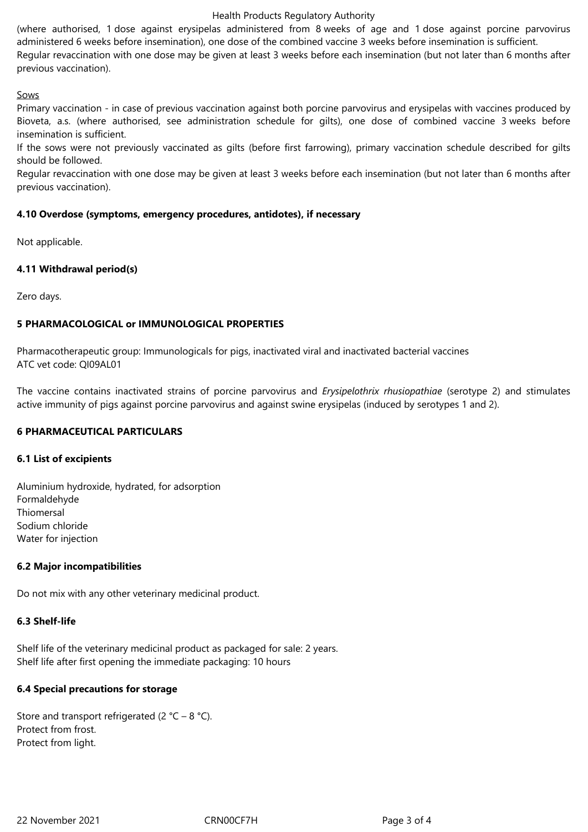#### Health Products Regulatory Authority

(where authorised, 1 dose against erysipelas administered from 8 weeks of age and 1 dose against porcine parvovirus administered 6 weeks before insemination), one dose of the combined vaccine 3 weeks before insemination is sufficient. Regular revaccination with one dose may be given at least 3 weeks before each insemination (but not later than 6 months after previous vaccination).

#### Sows

Primary vaccination - in case of previous vaccination against both porcine parvovirus and erysipelas with vaccines produced by Bioveta, a.s. (where authorised, see administration schedule for gilts), one dose of combined vaccine 3 weeks before insemination is sufficient.

If the sows were not previously vaccinated as gilts (before first farrowing), primary vaccination schedule described for gilts should be followed.

Regular revaccination with one dose may be given at least 3 weeks before each insemination (but not later than 6 months after previous vaccination).

## **4.10 Overdose (symptoms, emergency procedures, antidotes), if necessary**

Not applicable.

## **4.11 Withdrawal period(s)**

Zero days.

## **5 PHARMACOLOGICAL or IMMUNOLOGICAL PROPERTIES**

Pharmacotherapeutic group: Immunologicals for pigs, inactivated viral and inactivated bacterial vaccines ATC vet code: QI09AL01

The vaccine contains inactivated strains of porcine parvovirus and *Erysipelothrix rhusiopathiae* (serotype 2) and stimulates active immunity of pigs against porcine parvovirus and against swine erysipelas (induced by serotypes 1 and 2).

## **6 PHARMACEUTICAL PARTICULARS**

## **6.1 List of excipients**

Aluminium hydroxide, hydrated, for adsorption Formaldehyde Thiomersal Sodium chloride Water for injection

## **6.2 Major incompatibilities**

Do not mix with any other veterinary medicinal product.

## **6.3 Shelf-life**

Shelf life of the veterinary medicinal product as packaged for sale: 2 years. Shelf life after first opening the immediate packaging: 10 hours

## **6.4 Special precautions for storage**

Store and transport refrigerated (2  $^{\circ}$ C – 8  $^{\circ}$ C). Protect from frost. Protect from light.